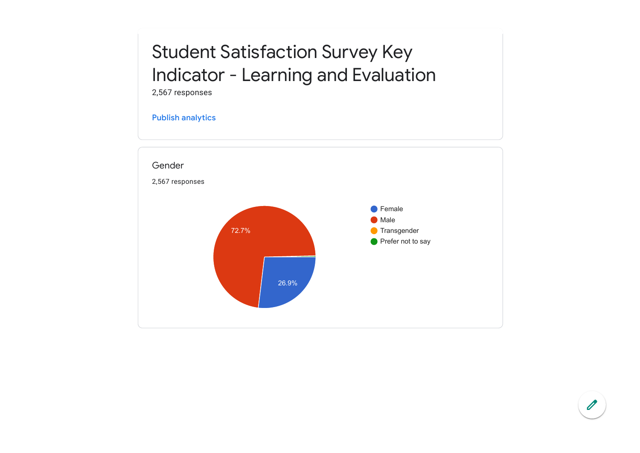## Student Satisfaction Survey Key Indicator - Learning and Evaluation

2,567 responses

## Publish [analytics](https://docs.google.com/forms/d/1Pqs1-QjJbHVR5U3p6B2eOCIAOrv3duhARXduk-9W3pg/edit?usp=redirect_edit_m2#start=publishanalytics)

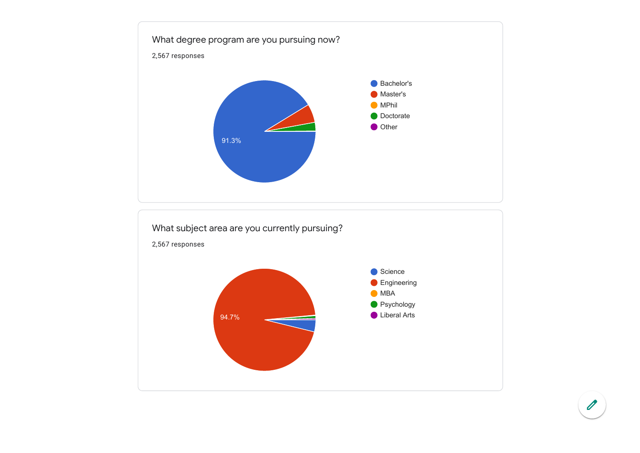

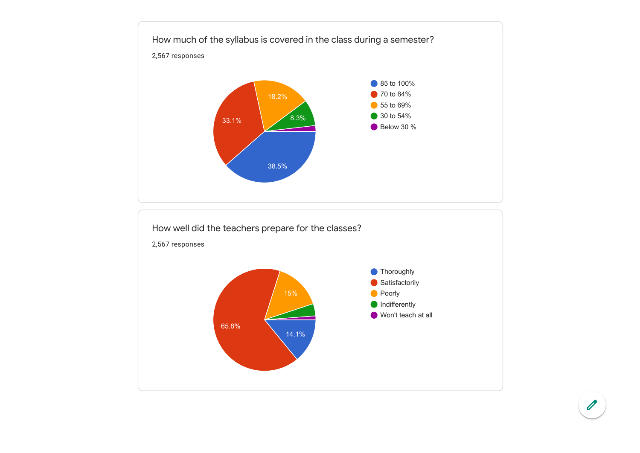

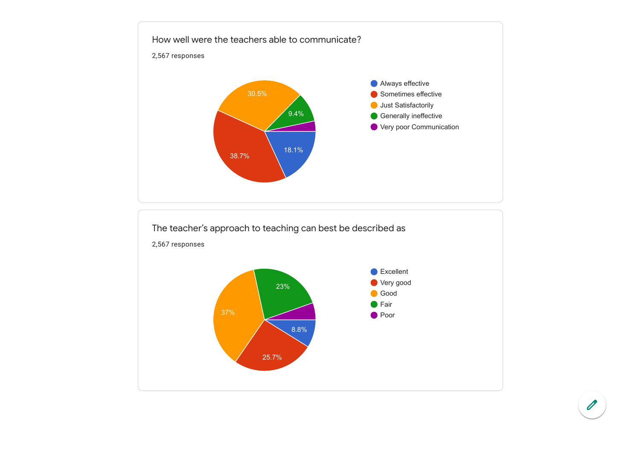

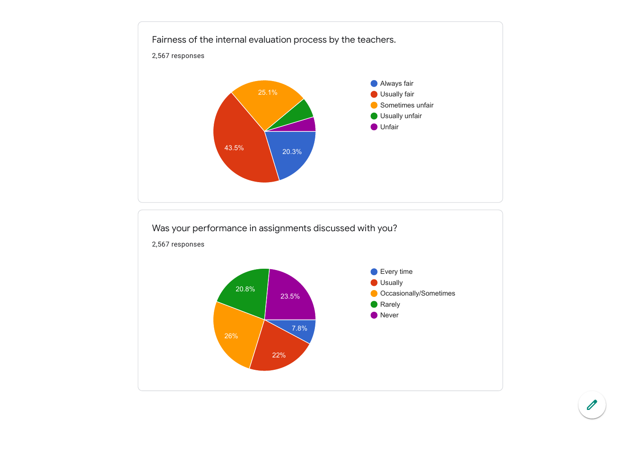

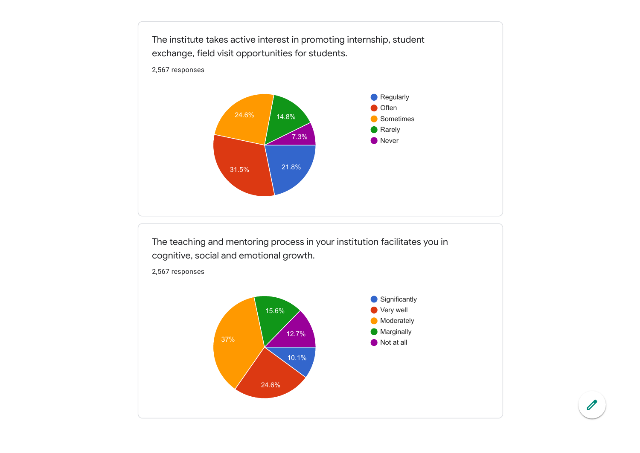

The teaching and mentoring process in your institution facilitates you in cognitive, social and emotional growth.

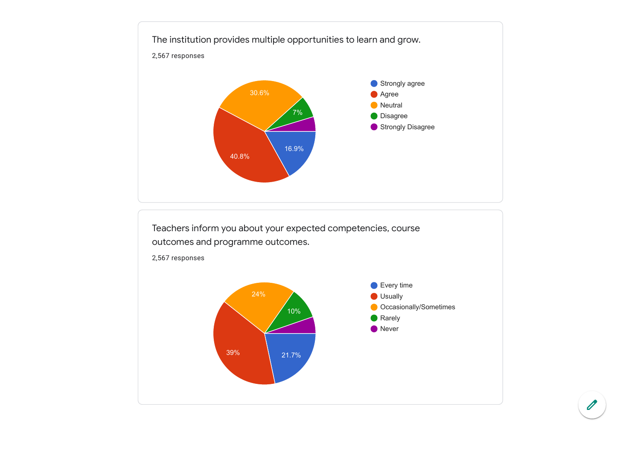

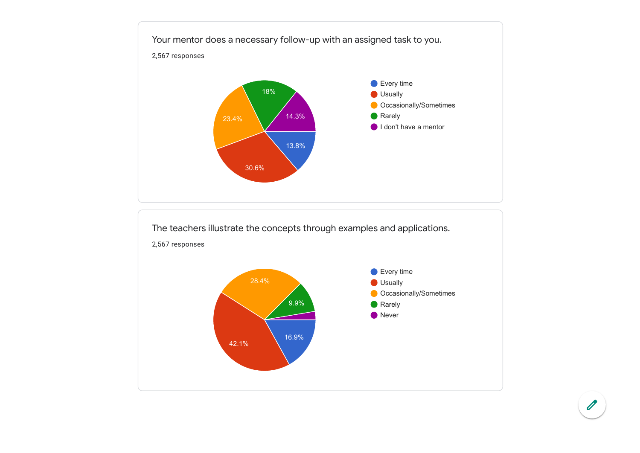

![](_page_7_Figure_1.jpeg)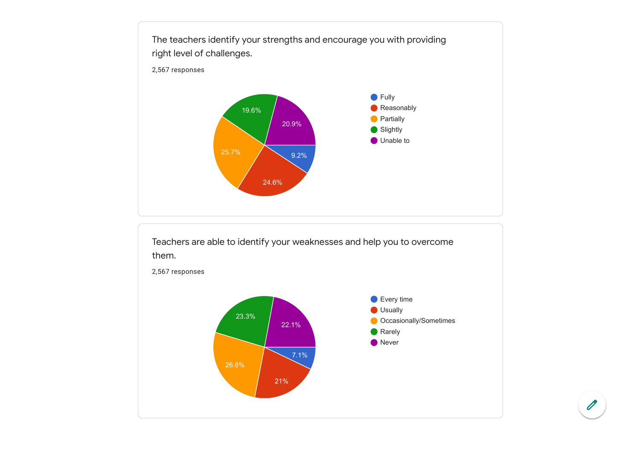![](_page_8_Figure_0.jpeg)

![](_page_8_Figure_1.jpeg)

 $\overline{\mathscr{O}}$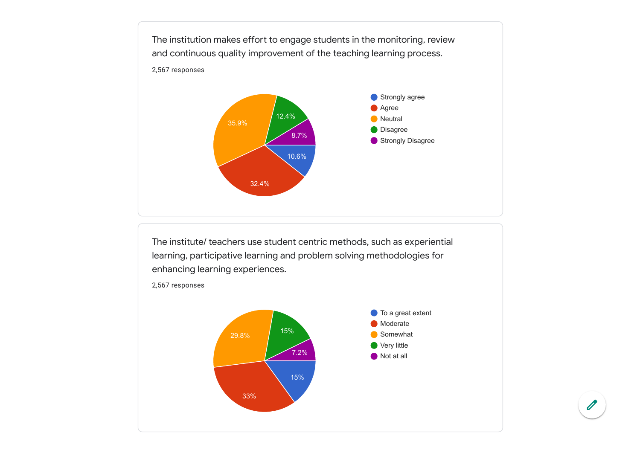![](_page_9_Figure_0.jpeg)

The institute/ teachers use student centric methods, such as experiential learning, participative learning and problem solving methodologies for enhancing learning experiences.

2,567 responses

![](_page_9_Figure_3.jpeg)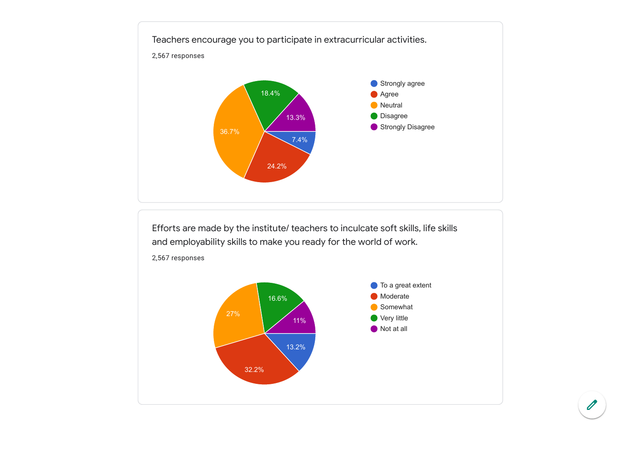![](_page_10_Figure_0.jpeg)

Efforts are made by the institute/ teachers to inculcate soft skills, life skills and employability skills to make you ready for the world of work.

![](_page_10_Figure_2.jpeg)

2,567 responses